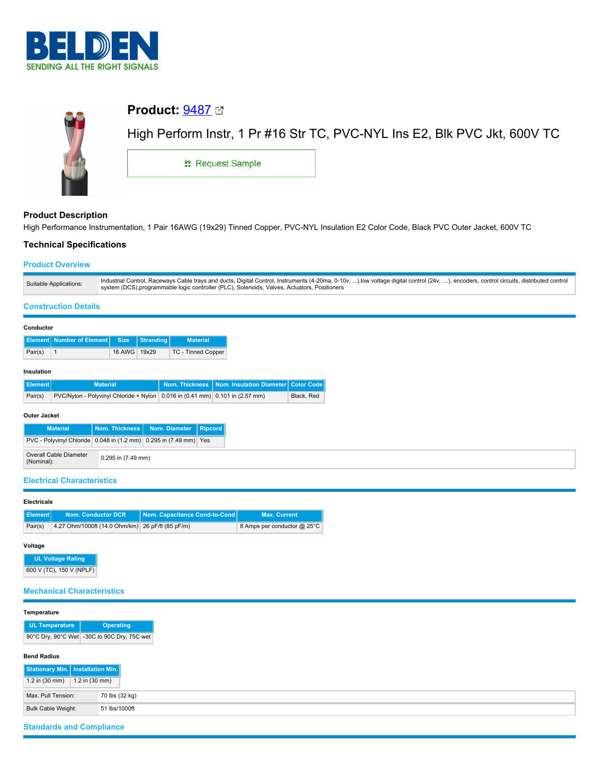



# **Product Description**

High Performance Instrumentation, 1 Pair 16AWG (19x29) Tinned Copper, PVC-NYL Insulation E2 Color Code, Black PVC Outer Jacket, 600V TC

# **Technical Specifications**

## **Product Overview**

| Suitable Applications:<br>system (DCS), programmable logic controller (PLC), Solenoids, Valves, Actuators, Positioners |                                                                                                                                                                                          |
|------------------------------------------------------------------------------------------------------------------------|------------------------------------------------------------------------------------------------------------------------------------------------------------------------------------------|
|                                                                                                                        | Industrial Control, Raceways Cable trays and ducts, Digital Control, Instruments (4-20ma, 0-10v, ), low voltage digital control (24v, ), encoders, control circuits, distributed control |

## **Construction Details**

### **Conductor**

|                                                 | <b>Material</b> |
|-------------------------------------------------|-----------------|
| 16 AWG   19x29<br>Pair(s)<br>TC - Tinned Copper |                 |

## **Insulation**

| ∐Element I | <b>Material</b>                                                                         | Nom. Thickness   Nom. Insulation Diameter   Color Code |            |
|------------|-----------------------------------------------------------------------------------------|--------------------------------------------------------|------------|
| Pair(s)    | $PVC/N$ ylon - Polyvinyl Chloride + Nylon $\vert$ 0.016 in (0.41 mm) 0.101 in (2.57 mm) |                                                        | Black, Red |

### **Outer Jacket**

| <b>Material</b>                                                   |                        | Nom. Thickness   Nom. Diameter   Ripcord |  |
|-------------------------------------------------------------------|------------------------|------------------------------------------|--|
| PVC - Polyvinyl Chloride 0.048 in (1.2 mm) 0.295 in (7.49 mm) Yes |                        |                                          |  |
| Overall Cable Diameter<br>(Nominal):                              | $0.295$ in $(7.49$ mm) |                                          |  |

### **Electrical Characteristics**

| <b>Electricals</b> |             |                                                  |                                        |                             |  |  |
|--------------------|-------------|--------------------------------------------------|----------------------------------------|-----------------------------|--|--|
|                    | Ⅱ Element I | <b>Nom. Conductor DCR</b>                        | <b>Nom. Capacitance Cond-to-Cond  </b> | <b>Max. Current</b>         |  |  |
| Pair(s)            |             | 4.27 Ohm/1000ft (14.0 Ohm/km) 26 pF/ft (85 pF/m) |                                        | 8 Amps per conductor @ 25°C |  |  |

#### **Voltage**

**UL Voltage Rating** 600 V (TC), 150 V (NPLF)

## **Mechanical Characteristics**

### **Temperature**

| <b>UL Temperature</b> | <b>Operating</b>                            |
|-----------------------|---------------------------------------------|
|                       | 90°C Dry, 90°C Wet -30C to 90C Dry, 75C wet |

### **Bend Radius**

| Stationary Min.   Installation Min. |                          |                |
|-------------------------------------|--------------------------|----------------|
| 1.2 in (30 mm)                      | 1.2 in $(30 \text{ mm})$ |                |
| Max. Pull Tension:                  |                          | 70 lbs (32 kg) |
| Bulk Cable Weight:                  |                          | 51 lbs/1000ft  |

# **Standards and Compliance**